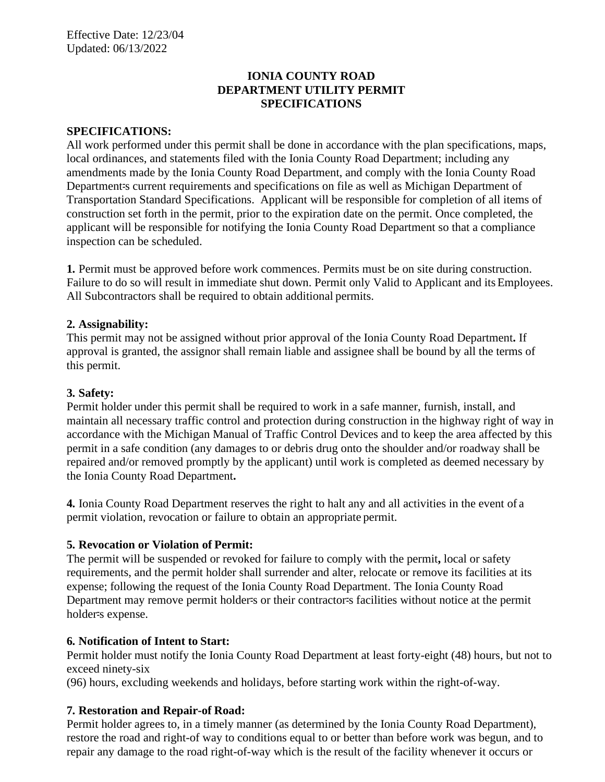## **IONIA COUNTY ROAD DEPARTMENT UTILITY PERMIT SPECIFICATIONS**

#### **SPECIFICATIONS:**

All work performed under this permit shall be done in accordance with the plan specifications, maps, local ordinances, and statements filed with the Ionia County Road Department; including any amendments made by the Ionia County Road Department, and comply with the Ionia County Road Department-s current requirements and specifications on file as well as Michigan Department of Transportation Standard Specifications. Applicant will be responsible for completion of all items of construction set forth in the permit, prior to the expiration date on the permit. Once completed, the applicant will be responsible for notifying the Ionia County Road Department so that a compliance inspection can be scheduled.

**1.** Permit must be approved before work commences. Permits must be on site during construction. Failure to do so will result in immediate shut down. Permit only Valid to Applicant and its Employees. All Subcontractors shall be required to obtain additional permits.

#### **2. Assignability:**

This permit may not be assigned without prior approval of the Ionia County Road Department**.** If approval is granted, the assignor shall remain liable and assignee shall be bound by all the terms of this permit.

#### **3. Safety:**

Permit holder under this permit shall be required to work in a safe manner, furnish, install, and maintain all necessary traffic control and protection during construction in the highway right of way in accordance with the Michigan Manual of Traffic Control Devices and to keep the area affected by this permit in a safe condition (any damages to or debris drug onto the shoulder and/or roadway shall be repaired and/or removed promptly by the applicant) until work is completed as deemed necessary by the Ionia County Road Department**.**

**4.** Ionia County Road Department reserves the right to halt any and all activities in the event of a permit violation, revocation or failure to obtain an appropriate permit.

#### **5. Revocation or Violation of Permit:**

The permit will be suspended or revoked for failure to comply with the permit**,** local or safety requirements, and the permit holder shall surrender and alter, relocate or remove its facilities at its expense; following the request of the Ionia County Road Department. The Ionia County Road Department may remove permit holder=s or their contractor=s facilities without notice at the permit holder=s expense.

#### **6. Notification of Intent to Start:**

Permit holder must notify the Ionia County Road Department at least forty-eight (48) hours, but not to exceed ninety-six

(96) hours, excluding weekends and holidays, before starting work within the right-of-way.

## **7. Restoration and Repair-of Road:**

Permit holder agrees to, in a timely manner (as determined by the Ionia County Road Department), restore the road and right-of way to conditions equal to or better than before work was begun, and to repair any damage to the road right-of-way which is the result of the facility whenever it occurs or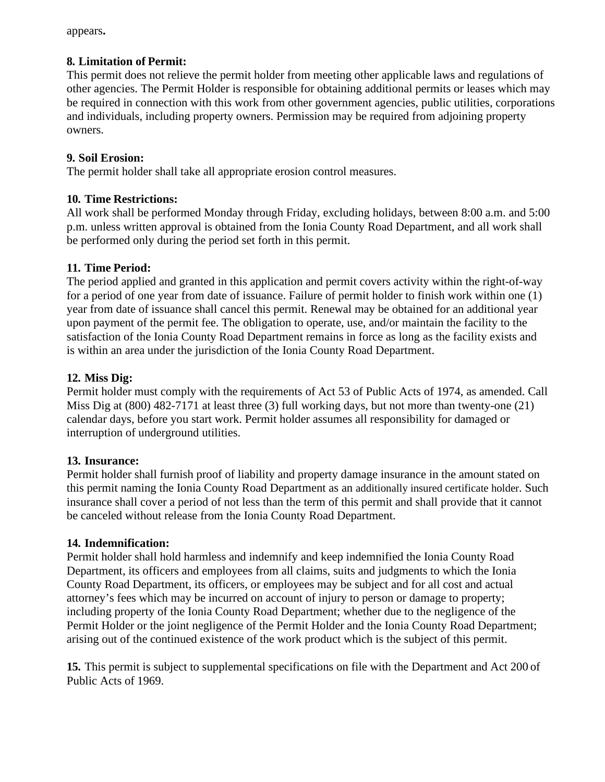appears**.**

## **8. Limitation of Permit:**

This permit does not relieve the permit holder from meeting other applicable laws and regulations of other agencies. The Permit Holder is responsible for obtaining additional permits or leases which may be required in connection with this work from other government agencies, public utilities, corporations and individuals, including property owners. Permission may be required from adjoining property owners.

# **9. Soil Erosion:**

The permit holder shall take all appropriate erosion control measures.

# **10. Time Restrictions:**

All work shall be performed Monday through Friday, excluding holidays, between 8:00 a.m. and 5:00 p.m. unless written approval is obtained from the Ionia County Road Department, and all work shall be performed only during the period set forth in this permit.

# **11. Time Period:**

The period applied and granted in this application and permit covers activity within the right-of-way for a period of one year from date of issuance. Failure of permit holder to finish work within one (1) year from date of issuance shall cancel this permit. Renewal may be obtained for an additional year upon payment of the permit fee. The obligation to operate, use, and/or maintain the facility to the satisfaction of the Ionia County Road Department remains in force as long as the facility exists and is within an area under the jurisdiction of the Ionia County Road Department.

# **12. Miss Dig:**

Permit holder must comply with the requirements of Act 53 of Public Acts of 1974, as amended. Call Miss Dig at (800) 482-7171 at least three (3) full working days, but not more than twenty-one (21) calendar days, before you start work. Permit holder assumes all responsibility for damaged or interruption of underground utilities.

# **13. Insurance:**

Permit holder shall furnish proof of liability and property damage insurance in the amount stated on this permit naming the Ionia County Road Department as an additionally insured certificate holder. Such insurance shall cover a period of not less than the term of this permit and shall provide that it cannot be canceled without release from the Ionia County Road Department.

# **14. Indemnification:**

Permit holder shall hold harmless and indemnify and keep indemnified the Ionia County Road Department, its officers and employees from all claims, suits and judgments to which the Ionia County Road Department, its officers, or employees may be subject and for all cost and actual attorney's fees which may be incurred on account of injury to person or damage to property; including property of the Ionia County Road Department; whether due to the negligence of the Permit Holder or the joint negligence of the Permit Holder and the Ionia County Road Department; arising out of the continued existence of the work product which is the subject of this permit.

**15.** This permit is subject to supplemental specifications on file with the Department and Act 200 of Public Acts of 1969.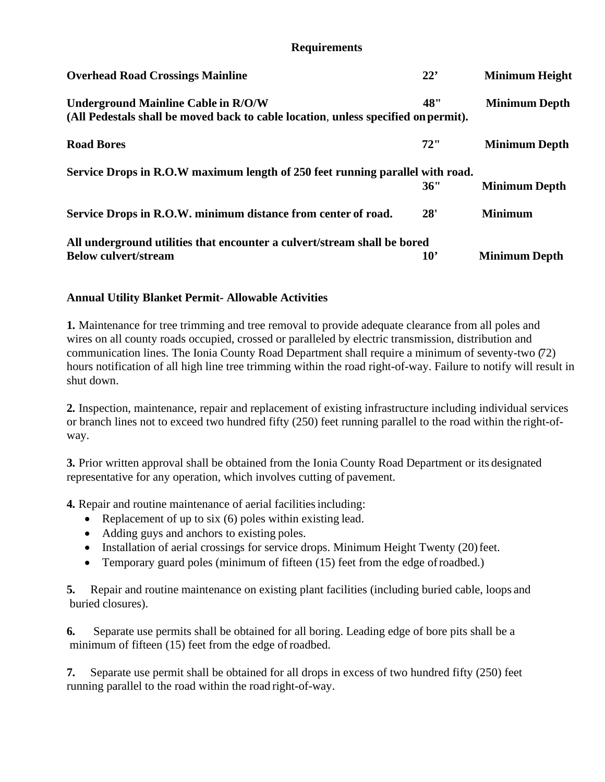## **Requirements**

| <b>Overhead Road Crossings Mainline</b>                                            | 22'             | <b>Minimum Height</b> |
|------------------------------------------------------------------------------------|-----------------|-----------------------|
| <b>Underground Mainline Cable in R/O/W</b>                                         | 48"             | <b>Minimum Depth</b>  |
| (All Pedestals shall be moved back to cable location, unless specified on permit). |                 |                       |
| <b>Road Bores</b>                                                                  | 72"             | <b>Minimum Depth</b>  |
| Service Drops in R.O.W maximum length of 250 feet running parallel with road.      |                 |                       |
|                                                                                    | 36"             | <b>Minimum Depth</b>  |
| Service Drops in R.O.W. minimum distance from center of road.                      | 28'             | <b>Minimum</b>        |
| All underground utilities that encounter a culvert/stream shall be bored           |                 |                       |
| <b>Below culvert/stream</b>                                                        | 10 <sup>2</sup> | <b>Minimum Depth</b>  |

# **Annual Utility Blanket Permit- Allowable Activities**

**1.** Maintenance for tree trimming and tree removal to provide adequate clearance from all poles and wires on all county roads occupied, crossed or paralleled by electric transmission, distribution and communication lines. The Ionia County Road Department shall require a minimum of seventy-two (72) hours notification of all high line tree trimming within the road right-of-way. Failure to notify will result in shut down.

**2.** Inspection, maintenance, repair and replacement of existing infrastructure including individual services or branch lines not to exceed two hundred fifty (250) feet running parallel to the road within the right-ofway.

**3.** Prior written approval shall be obtained from the Ionia County Road Department or its designated representative for any operation, which involves cutting of pavement.

**4.** Repair and routine maintenance of aerial facilitiesincluding:

- Replacement of up to six (6) poles within existing lead.
- Adding guys and anchors to existing poles.
- Installation of aerial crossings for service drops. Minimum Height Twenty (20) feet.
- Temporary guard poles (minimum of fifteen (15) feet from the edge of roadbed.)

**5.** Repair and routine maintenance on existing plant facilities (including buried cable, loops and buried closures).

**6.** Separate use permits shall be obtained for all boring. Leading edge of bore pits shall be a minimum of fifteen (15) feet from the edge of roadbed.

**7.** Separate use permit shall be obtained for all drops in excess of two hundred fifty (250) feet running parallel to the road within the road right-of-way.